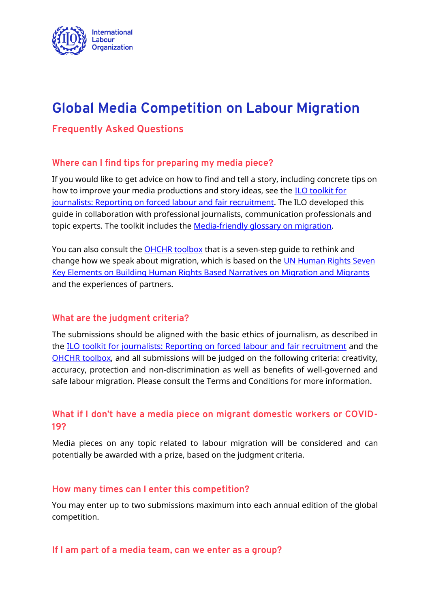

# **Global Media Competition on Labour Migration**

## **Frequently Asked Questions**

#### **Where can I find tips for preparing my media piece?**

If you would like to get advice on how to find and tell a story, including concrete tips on how to improve your media productions and story ideas, see the **ILO toolkit for** [journalists: Reporting on forced labour and fair recruitment.](https://readymag.com/ITCILO/1292461/) The ILO developed this guide in collaboration with professional journalists, communication professionals and topic experts. The toolkit includes the [Media-friendly glossary on migration.](https://www.ilo.org/global/topics/labour-migration/publications/WCMS_310235/lang--en/index.htm)

You can also consult the [OHCHR toolbox](https://www.standup4humanrights.org/migration/en/toolbox.html) that is a seven-step guide to rethink and change how we speak about migration, which is based on the [UN Human Rights Seven](https://www.standup4humanrights.org/migration/pdf/UN-Introduction.pdf)  [Key Elements on Building Human Rights Based Narratives on Migration and Migrants](https://www.standup4humanrights.org/migration/pdf/UN-Introduction.pdf) and the experiences of partners.

#### **What are the judgment criteria?**

The submissions should be aligned with the basic ethics of journalism, as described in the [ILO toolkit for journalists: Reporting on forced labour and fair recruitment](https://readymag.com/ITCILO/1292461/) and the [OHCHR toolbox,](https://www.standup4humanrights.org/migration/en/toolbox.html) and all submissions will be judged on the following criteria: creativity, accuracy, protection and non-discrimination as well as benefits of well-governed and safe labour migration. Please consult the Terms and Conditions for more information.

# **What if I don't have a media piece on migrant domestic workers or COVID-19?**

Media pieces on any topic related to labour migration will be considered and can potentially be awarded with a prize, based on the judgment criteria.

#### **How many times can I enter this competition?**

You may enter up to two submissions maximum into each annual edition of the global competition.

#### **If I am part of a media team, can we enter as a group?**